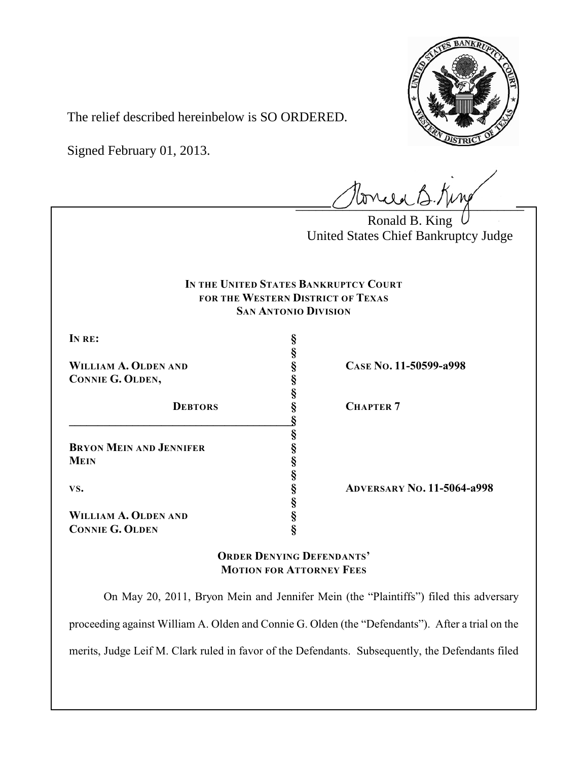

The relief described hereinbelow is SO ORDERED.

Signed February 01, 2013.

tonue B.King

Ronald B. King United States Chief Bankruptcy Judge

## **IN THE UNITED STATES BANKRUPTCY COURT FOR THE WESTERN DISTRICT OF TEXAS SAN ANTONIO DIVISION**

**§**

**§**

**§**

**§**

**§**

**IN RE: §**

**CONNIE G. OLDEN, §**

**\_\_\_\_\_\_\_\_\_\_\_\_\_\_\_\_\_\_\_\_\_\_\_\_\_\_\_\_\_\_\_\_\_\_\_\_\_\_\_§**

**BRYON MEIN AND JENNIFER § MEIN §**

**WILLIAM A. OLDEN AND § connie G. OLDEN §** 

**WILLIAM A. OLDEN AND § CASE NO. 11-50599-a998**

**DEBTORS § CHAPTER 7**

**VS. § ADVERSARY NO. 11-5064-a998**

**ORDER DENYING DEFENDANTS' MOTION FOR ATTORNEY FEES**

On May 20, 2011, Bryon Mein and Jennifer Mein (the "Plaintiffs") filed this adversary proceeding against William A. Olden and Connie G. Olden (the "Defendants"). After a trial on the merits, Judge Leif M. Clark ruled in favor of the Defendants. Subsequently, the Defendants filed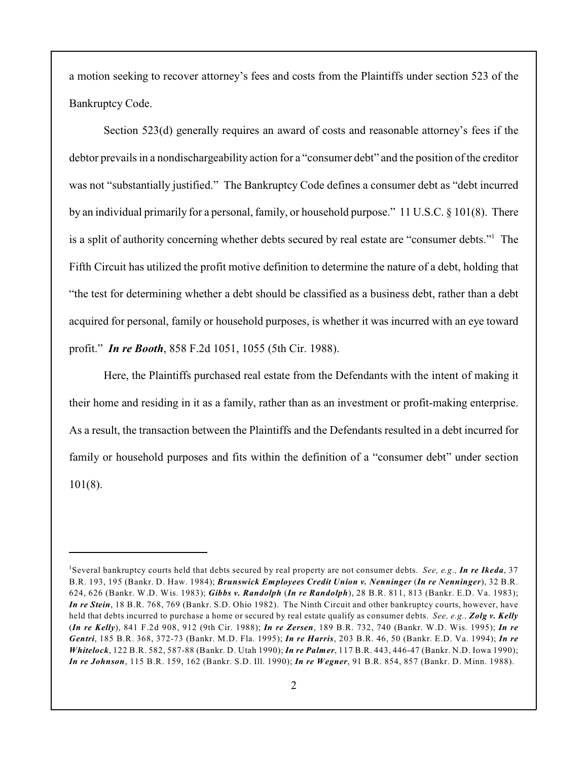a motion seeking to recover attorney's fees and costs from the Plaintiffs under section 523 of the Bankruptcy Code.

Section 523(d) generally requires an award of costs and reasonable attorney's fees if the debtor prevails in a nondischargeability action for a "consumer debt" and the position of the creditor was not "substantially justified." The Bankruptcy Code defines a consumer debt as "debt incurred by an individual primarily for a personal, family, or household purpose." 11 U.S.C. § 101(8). There is a split of authority concerning whether debts secured by real estate are "consumer debts."<sup>1</sup> The Fifth Circuit has utilized the profit motive definition to determine the nature of a debt, holding that "the test for determining whether a debt should be classified as a business debt, rather than a debt acquired for personal, family or household purposes, is whether it was incurred with an eye toward profit." *In re Booth*, 858 F.2d 1051, 1055 (5th Cir. 1988).

Here, the Plaintiffs purchased real estate from the Defendants with the intent of making it their home and residing in it as a family, rather than as an investment or profit-making enterprise. As a result, the transaction between the Plaintiffs and the Defendants resulted in a debt incurred for family or household purposes and fits within the definition of a "consumer debt" under section 101(8).

Several bankruptcy courts held that debts secured by real property are not consumer debts. *See, e.g., In re Ikeda*, 37 <sup>1</sup> B.R. 193, 195 (Bankr. D. Haw. 1984); *Brunswick Employees Credit Union v. Nenninger* (*In re Nenninger*), 32 B.R. 624, 626 (Bankr. W.D. Wis. 1983); *Gibbs v. Randolph* (*In re Randolph*), 28 B.R. 811, 813 (Bankr. E.D. Va. 1983); *In re Stein*, 18 B.R. 768, 769 (Bankr. S.D. Ohio 1982). The Ninth Circuit and other bankruptcy courts, however, have held that debts incurred to purchase a home or secured by real estate qualify as consumer debts. *See, e.g., Zolg v. Kelly* (*In re Kelly*), 841 F.2d 908, 912 (9th Cir. 1988); *In re Zersen*, 189 B.R. 732, 740 (Bankr. W.D. Wis. 1995); *In re Gentri*, 185 B.R. 368, 372-73 (Bankr. M.D. Fla. 1995); *In re Harris*, 203 B.R. 46, 50 (Bankr. E.D. Va. 1994); *In re Whitelock*, 122 B.R. 582, 587-88 (Bankr. D. Utah 1990); *In re Palmer*, 117 B.R. 443, 446-47 (Bankr. N.D. Iowa 1990); *In re Johnson*, 115 B.R. 159, 162 (Bankr. S.D. Ill. 1990); *In re Wegner*, 91 B.R. 854, 857 (Bankr. D. Minn. 1988).